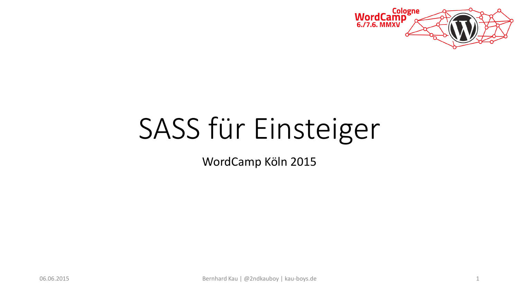

# SASS für Einsteiger

WordCamp Köln 2015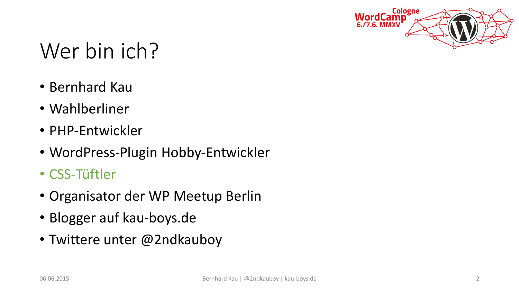

# Wer bin ich?

- Bernhard Kau
- Wahlberliner
- PHP-Entwickler
- WordPress-Plugin Hobby-Entwickler
- CSS-Tüftler
- Organisator der WP Meetup Berlin
- Blogger auf kau-boys.de
- Twittere unter @2ndkauboy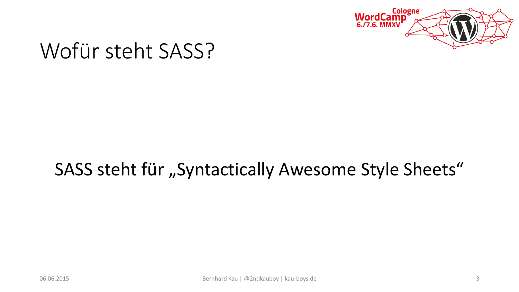

## Wofür steht SASS?

## SASS steht für "Syntactically Awesome Style Sheets"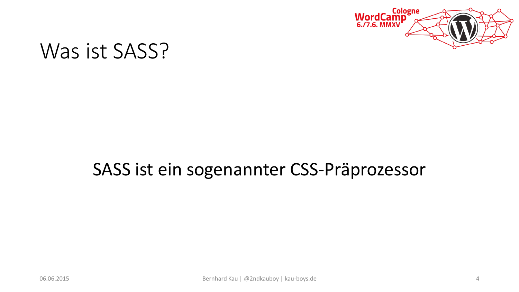

## Was ist SASS?

## SASS ist ein sogenannter CSS-Präprozessor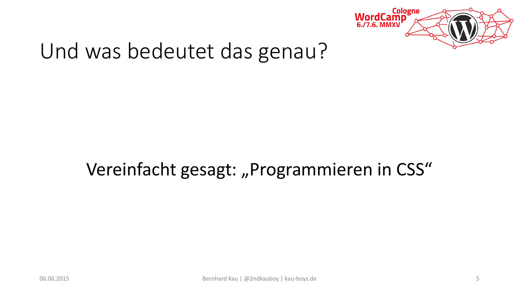

# Und was bedeutet das genau?

## Vereinfacht gesagt: "Programmieren in CSS"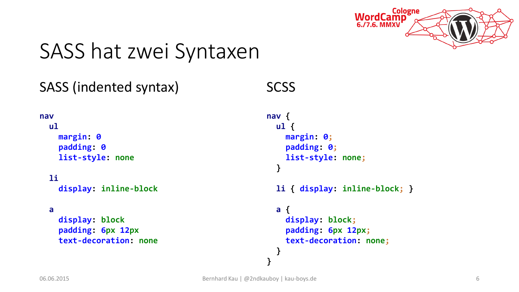

# SASS hat zwei Syntaxen

## SASS (indented syntax) SCSS

## **nav**

**ul margin: 0 padding: 0 list-style: none**

## **li**

**display: inline-block**

## **a**

**display: block padding: 6px 12px text-decoration: none**

```
nav {
  ul {
    margin: 0;
    padding: 0;
    list-style: none;
  }
```
**li { display: inline-block; }**

## **a { display: block; padding: 6px 12px; text-decoration: none;**

**}**

**}**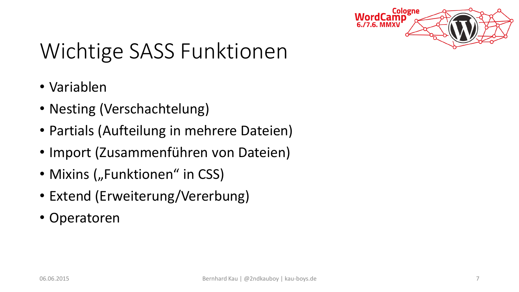

# Wichtige SASS Funktionen

- Variablen
- Nesting (Verschachtelung)
- Partials (Aufteilung in mehrere Dateien)
- Import (Zusammenführen von Dateien)
- Mixins ("Funktionen" in CSS)
- Extend (Erweiterung/Vererbung)
- Operatoren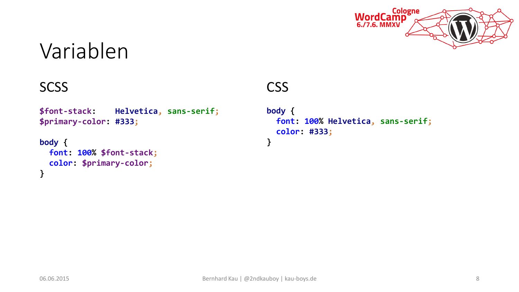

# Variablen

## SCSS<sup>CSS</sup>

```
$font-stack: Helvetica, sans-serif;
$primary-color: #333;
```

```
body {
 font: 100% $font-stack;
  color: $primary-color;
}
```

```
body {
  font: 100% Helvetica, sans-serif;
  color: #333;
}
```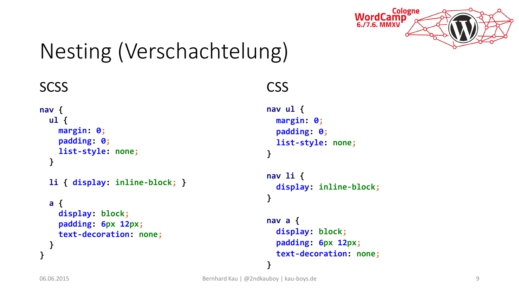

# Nesting (Verschachtelung)

## SCSS<sup>CSS</sup>

```
nav {
  ul {
    margin: 0;
    padding: 0;
    list-style: none;
  }
```

```
li { display: inline-block; }
```

```
a {
  display: block;
  padding: 6px 12px;
  text-decoration: none;
}
```

```
nav ul {
  margin: 0;
  padding: 0;
  list-style: none;
}
```

```
nav li {
 display: inline-block;
}
```

```
nav a {
  display: block;
  padding: 6px 12px;
  text-decoration: none;
```
**}**

**}**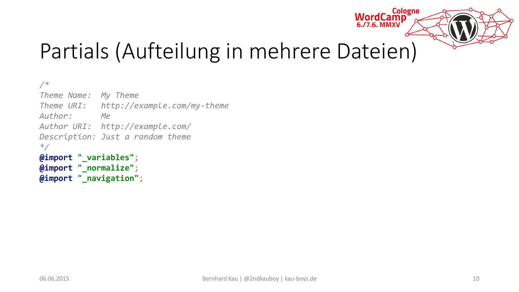

# Partials (Aufteilung in mehrere Dateien)

```
/*
Theme Name: My Theme
Theme URI: http://example.com/my-theme
Author: Me
Author URI: http://example.com/
Description: Just a random theme
*/
@import "_variables";
@import "_normalize";
@import "_navigation";
```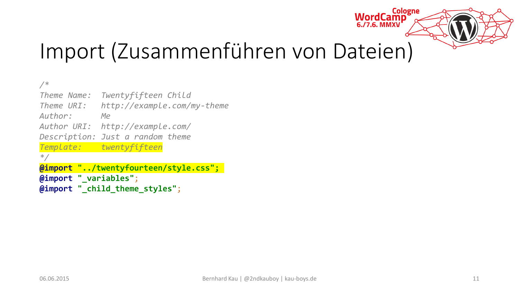

# Import (Zusammenführen von Dateien)

```
/*
Theme Name: Twentyfifteen Child
Theme URI: http://example.com/my-theme
Author: Me
Author URI: http://example.com/
Description: Just a random theme
Template: twentyfifteen
*/
@import "../twentyfourteen/style.css";
@import "_variables";
@import "_child_theme_styles";
```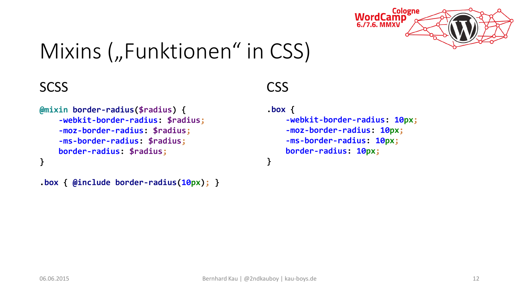

# Mixins ("Funktionen" in CSS)

## SCSS<sup>CSS</sup>

```
@mixin border-radius($radius) {
    -webkit-border-radius: $radius;
    -moz-border-radius: $radius;
    -ms-border-radius: $radius;
    border-radius: $radius;
}
```
**.box { @include border-radius(10px); }**

```
.box {
```
**}**

```
-webkit-border-radius: 10px;
-moz-border-radius: 10px;
-ms-border-radius: 10px;
border-radius: 10px;
```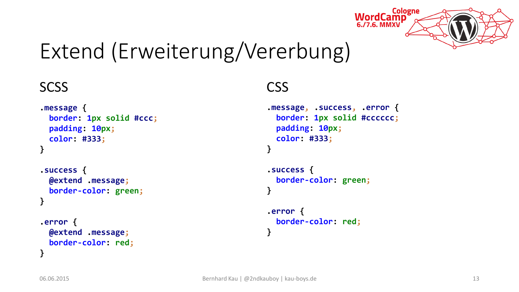

# Extend (Erweiterung/Vererbung)

## SCSS<sup>CSS</sup>

```
.message {
 border: 1px solid #ccc;
 padding: 10px;
 color: #333;
}
```

```
.success {
 @extend .message;
 border-color: green;
}
```

```
.error {
 @extend .message;
 border-color: red;
}
```

```
.message, .success, .error {
 border: 1px solid #cccccc;
 padding: 10px;
 color: #333;
}
```

```
.success {
 border-color: green;
}
```

```
.error {
 border-color: red;
}
```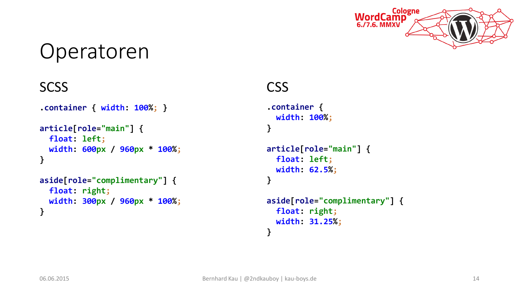

# Operatoren

## SCSS<sup>CSS</sup>

```
.container { width: 100%; }
article[role="main"] {
  float: left;
 width: 600px / 960px * 100%;
}
aside[role="complimentary"] {
  float: right;
 width: 300px / 960px * 100%;
```

```
.container {
 width: 100%;
}
```

```
article[role="main"] {
 float: left;
 width: 62.5%;
}
```

```
aside[role="complimentary"] {
 float: right;
 width: 31.25%;
}
```
**}**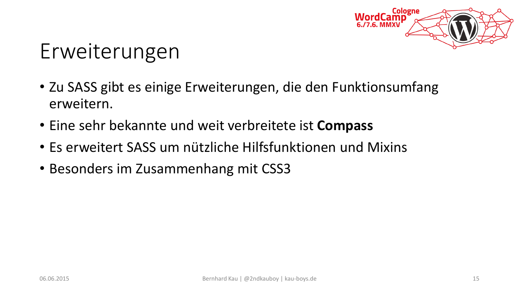

# Erweiterungen

- Zu SASS gibt es einige Erweiterungen, die den Funktionsumfang erweitern.
- Eine sehr bekannte und weit verbreitete ist **Compass**
- Es erweitert SASS um nützliche Hilfsfunktionen und Mixins
- Besonders im Zusammenhang mit CSS3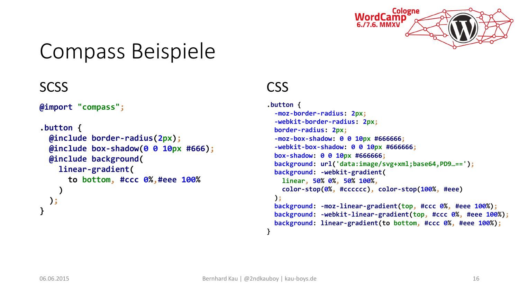

# Compass Beispiele

## SCSS<sup>CSS</sup>

```
@import "compass";
```

```
.button {
 @include border-radius(2px);
 @include box-shadow(0 0 10px #666);
 @include background(
    linear-gradient(
      to bottom, #ccc 0%,#eee 100%
    )
 );
}
```

```
.button {
 -moz-border-radius: 2px;
 -webkit-border-radius: 2px;
 border-radius: 2px;
 -moz-box-shadow: 0 0 10px #666666;
 -webkit-box-shadow: 0 0 10px #666666;
 box-shadow: 0 0 10px #666666;
 background: url('data:image/svg+xml;base64,PD9…==');
 background: -webkit-gradient(
   linear, 50% 0%, 50% 100%,
   color-stop(0%, #cccccc), color-stop(100%, #eee)
 );
 background: -moz-linear-gradient(top, #ccc 0%, #eee 100%);
 background: -webkit-linear-gradient(top, #ccc 0%, #eee 100%);
 background: linear-gradient(to bottom, #ccc 0%, #eee 100%);
}
```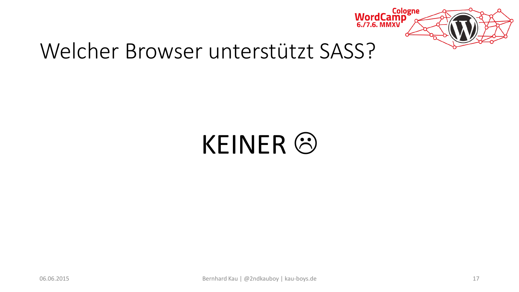

# Welcher Browser unterstützt SASS?

# KEINER<sup>®</sup>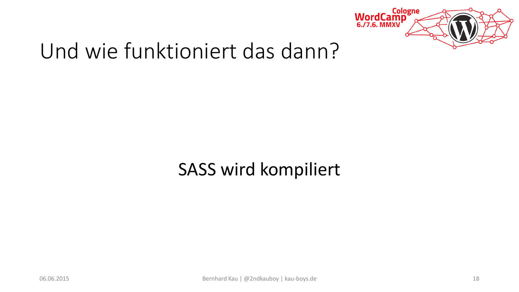

# Und wie funktioniert das dann?

## SASS wird kompiliert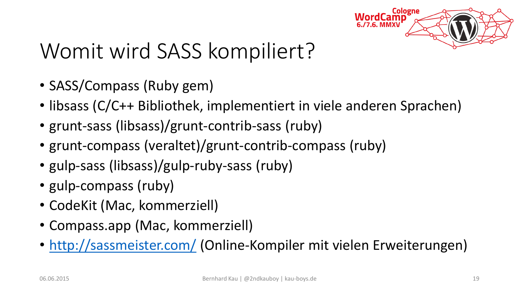

# Womit wird SASS kompiliert?

- SASS/Compass (Ruby gem)
- libsass (C/C++ Bibliothek, implementiert in viele anderen Sprachen)
- grunt-sass (libsass)/grunt-contrib-sass (ruby)
- grunt-compass (veraltet)/grunt-contrib-compass (ruby)
- gulp-sass (libsass)/gulp-ruby-sass (ruby)
- gulp-compass (ruby)
- CodeKit (Mac, kommerziell)
- Compass.app (Mac, kommerziell)
- <http://sassmeister.com/> (Online-Kompiler mit vielen Erweiterungen)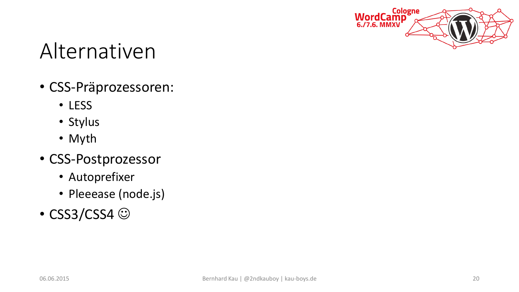

# Alternativen

- CSS-Präprozessoren:
	- LESS
	- Stylus
	- Myth
- CSS-Postprozessor
	- Autoprefixer
	- Pleeease (node.js)
- $\cdot$  CSS3/CSS4  $\odot$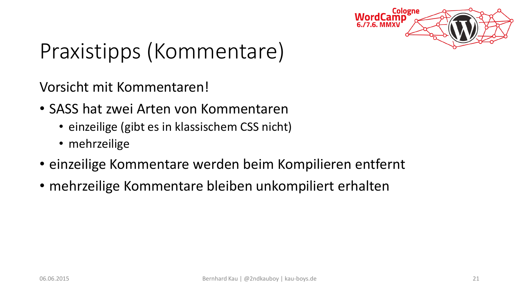

# Praxistipps (Kommentare)

Vorsicht mit Kommentaren!

- SASS hat zwei Arten von Kommentaren
	- einzeilige (gibt es in klassischem CSS nicht)
	- mehrzeilige
- einzeilige Kommentare werden beim Kompilieren entfernt
- mehrzeilige Kommentare bleiben unkompiliert erhalten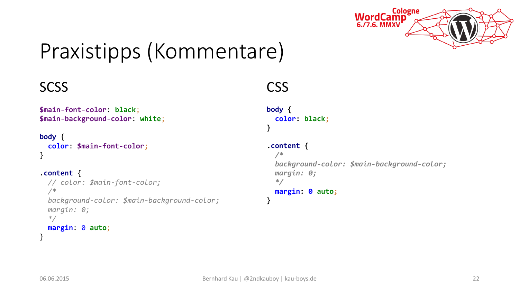

# Praxistipps (Kommentare)

## SCSS<sup>CSS</sup>

```
$main-font-color: black;
$main-background-color: white;
```

```
body {
  color: $main-font-color;
}
```

```
.content {
 // color: $main-font-color;
  /*
 background-color: $main-background-color;
 margin: 0;
  */
 margin: 0 auto;
}
```

```
body {
  color: black;
}
```

```
.content {
 /*
 background-color: $main-background-color;
 margin: 0;
  */
 margin: 0 auto;
}
```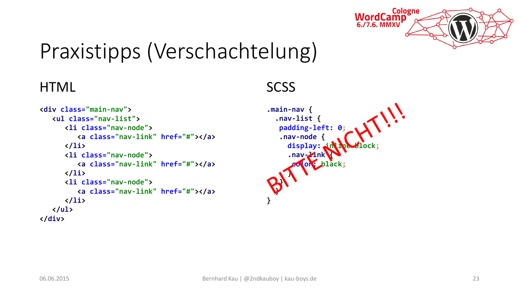

# Praxistipps (Verschachtelung)

## HTML SCSS

```
<div class="main-nav">
   <ul class="nav-list">
      <li class="nav-node">
         <a class="nav-link" href="#"></a>
      </li>
      <li class="nav-node">
         <a class="nav-link" href="#"></a>
     </li>
      <li class="nav-node">
         <a class="nav-link" href="#"></a>
      </li>
  </ul>
</div>
```
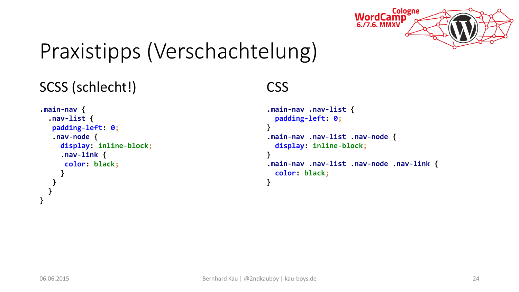

# Praxistipps (Verschachtelung)

## SCSS (schlecht!) CSS

```
.main-nav {
  .nav-list {
  padding-left: 0;
   .nav-node {
     display: inline-block;
     .nav-link {
      color: black;
     }
   }
  }
}
```

```
.main-nav .nav-list {
 padding-left: 0;
}
.main-nav .nav-list .nav-node {
 display: inline-block;
}
.main-nav .nav-list .nav-node .nav-link {
 color: black;
}
```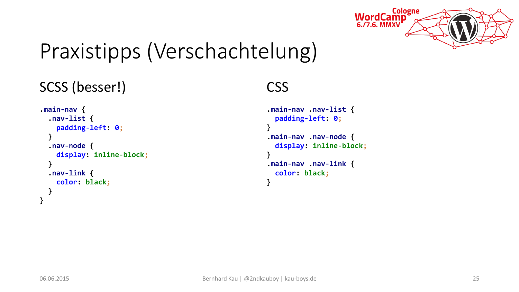

# Praxistipps (Verschachtelung)

## SCSS (besser!) CSS

```
.main-nav {
  .nav-list {
    padding-left: 0;
  }
  .nav-node {
   display: inline-block;
  }
  .nav-link {
    color: black;
  }
}
```

```
.main-nav .nav-list {
 padding-left: 0;
}
.main-nav .nav-node {
 display: inline-block;
}
.main-nav .nav-link {
 color: black;
}
```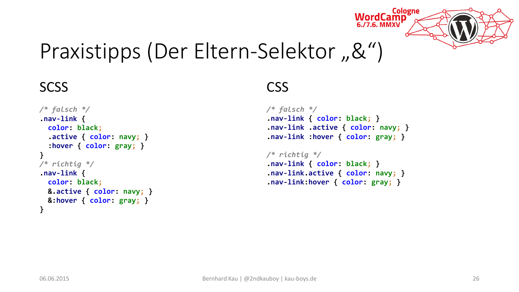

# Praxistipps (Der Eltern-Selektor, &")

## SCSS<sup>CSS</sup>

```
/* falsch */
.nav-link {
  color: black;
  .active { color: navy; }
  :hover { color: gray; }
}
/* richtig */
.nav-link {
  color: black;
  &.active { color: navy; }
  &:hover { color: gray; }
}
```

```
/* falsch */
.nav-link { color: black; }
.nav-link .active { color: navy; }
.nav-link :hover { color: gray; }
```

```
/* richtig */
.nav-link { color: black; }
.nav-link.active { color: navy; }
.nav-link:hover { color: gray; }
```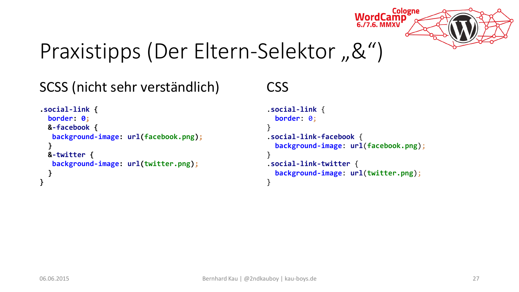

# Praxistipps (Der Eltern-Selektor "&")

## SCSS (nicht sehr verständlich) CSS

```
.social-link {
 border: 0;
 &-facebook {
  background-image: url(facebook.png);
  }
 &-twitter {
  background-image: url(twitter.png);
  }
}
```

```
.social-link {
 border: 0;
}
.social-link-facebook {
 background-image: url(facebook.png);
}
.social-link-twitter {
 background-image: url(twitter.png);
}
```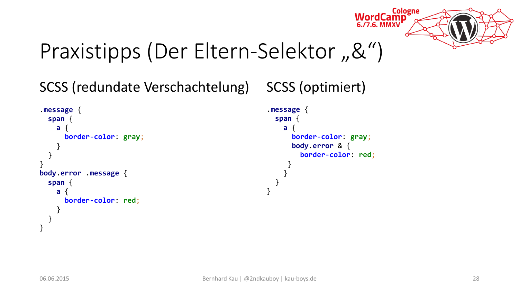

# Praxistipps (Der Eltern-Selektor "&")

SCSS (redundate Verschachtelung) SCSS (optimiert)

```
.message {
  span {
    a {
      border-color: gray;
    }
  }
}
body.error .message {
  span {
    a {
      border-color: red;
    }
  }
}
```

```
.message {
 span {
    a {
      border-color: gray;
      body.error & {
        border-color: red;
     }
    }
  }
}
```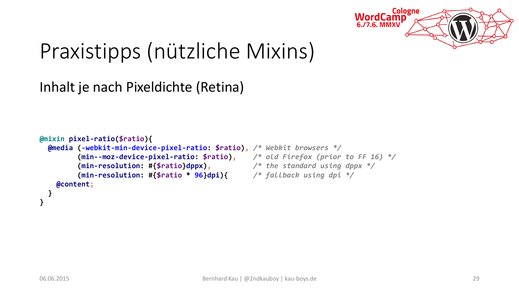

# Praxistipps (nützliche Mixins)

```
Inhalt je nach Pixeldichte (Retina)
```

```
@mixin pixel-ratio($ratio){
 @media (-webkit-min-device-pixel-ratio: $ratio), /* Webkit browsers */
        (min--moz-device-pixel-ratio: $ratio), /* old Firefox (prior to FF 16) */
        (min-resolution: #{$ratio}dppx), /* the standard using dppx */
        (min-resolution: #{$ratio * 96}dpi){ /* fallback using dpi */
   @content;
 }
```
**}**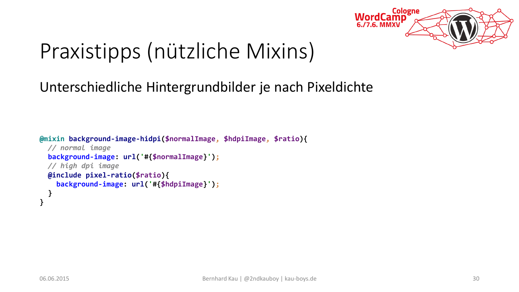

# Praxistipps (nützliche Mixins)

## Unterschiedliche Hintergrundbilder je nach Pixeldichte

```
@mixin background-image-hidpi($normalImage, $hdpiImage, $ratio){
 // normal image
 background-image: url('#{$normalImage}');
 // high dpi image
 @include pixel-ratio($ratio){
    background-image: url('#{$hdpiImage}');
  }
}
```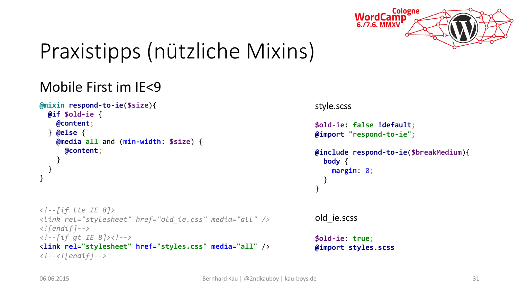

# Praxistipps (nützliche Mixins)

## Mobile First im IE<9

```
@mixin respond-to-ie($size){
  @if $old-ie {
    @content;
  } @else {
    @media all and (min-width: $size) {
      @content;
    }
  }
```

```
<!--[if lte IE 8]>
<link rel="stylesheet" href="old_ie.css" media="all" />
<![endif]-->
<!--[if gt IE 8]><!-->
<link rel="stylesheet" href="styles.css" media="all" />
<!--<![endif]-->
```

```
style.scss
```

```
$old-ie: false !default;
@import "respond-to-ie";
```

```
@include respond-to-ie($breakMedium){
  body {
    margin: 0;
  }
}
```
old\_ie.scss

```
$old-ie: true;
@import styles.scss
```
}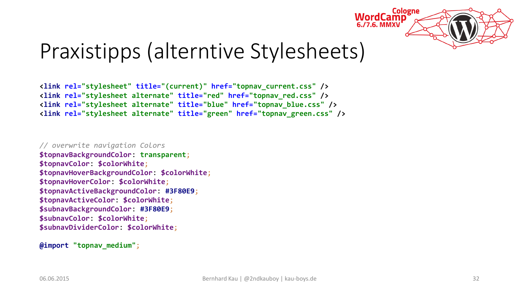

# Praxistipps (alterntive Stylesheets)

**<link rel="stylesheet" title="(current)" href="topnav\_current.css" /> <link rel="stylesheet alternate" title="red" href="topnav\_red.css" /> <link rel="stylesheet alternate" title="blue" href="topnav\_blue.css" /> <link rel="stylesheet alternate" title="green" href="topnav\_green.css" />**

*// overwrite navigation Colors* **\$topnavBackgroundColor**: **transparent**; **\$topnavColor**: **\$colorWhite**; **\$topnavHoverBackgroundColor**: **\$colorWhite**; **\$topnavHoverColor**: **\$colorWhite**; **\$topnavActiveBackgroundColor**: **#3F80E9**; **\$topnavActiveColor**: **\$colorWhite**; **\$subnavBackgroundColor**: **#3F80E9**; **\$subnavColor**: **\$colorWhite**; **\$subnavDividerColor**: **\$colorWhite**;

**@import "topnav\_medium"**;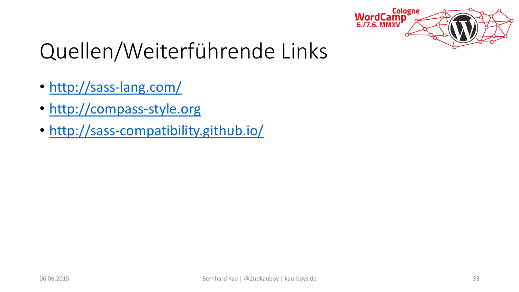

# Quellen/Weiterführende Links

- <http://sass-lang.com/>
- [http://compass-style.org](http://compass-style.org/)
- <http://sass-compatibility.github.io/>